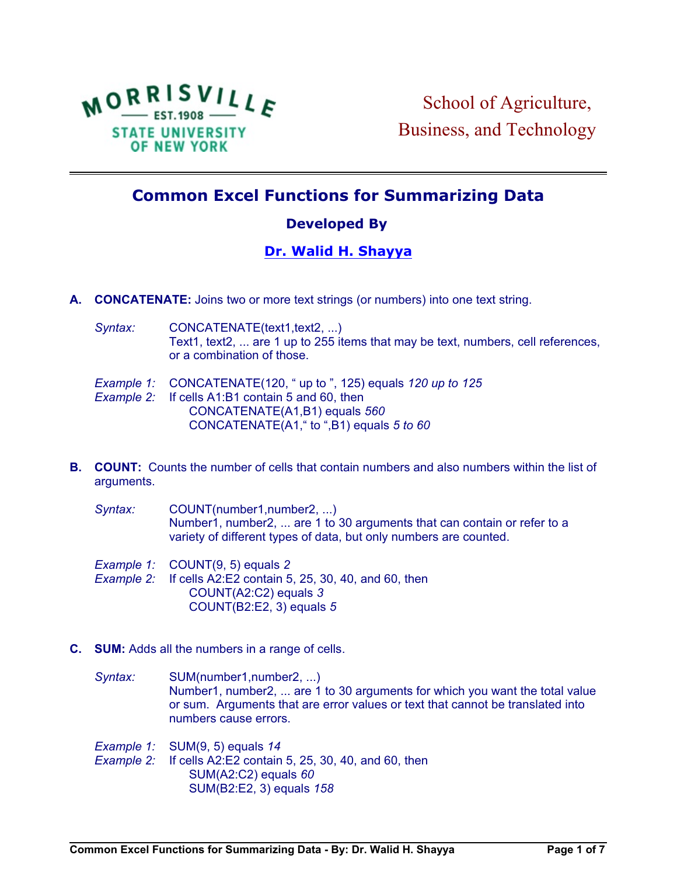

## **Common Excel Functions for Summarizing Data**

## **Developed By**

## **[Dr. Walid H. Shayya](http://people.morrisville.edu//u126%20~shayyaw/index.htm)**

- **A. CONCATENATE:** Joins two or more text strings (or numbers) into one text string.
	- Syntax: CONCATENATE(text1,text2, ...) Text1, text2, ... are 1 up to 255 items that may be text, numbers, cell references, or a combination of those.
	- *Example 1:* CONCATENATE(120, " up to ", 125) equals *120 up to 125*
	- *Example 2:* If cells A1:B1 contain 5 and 60, then CONCATENATE(A1,B1) equals *560* CONCATENATE(A1," to ",B1) equals *5 to 60*
- **B. COUNT:** Counts the number of cells that contain numbers and also numbers within the list of arguments.

Syntax: COUNT(number1,number2, ...) Number1, number2, ... are 1 to 30 arguments that can contain or refer to a variety of different types of data, but only numbers are counted.

- *Example 1:* COUNT(9, 5) equals *2*
- *Example 2:* If cells A2:E2 contain 5, 25, 30, 40, and 60, then COUNT(A2:C2) equals *3* COUNT(B2:E2, 3) equals *5*
- **C. SUM:** Adds all the numbers in a range of cells.
	- *Syntax:* SUM(number1,number2, ...) Number1, number2, ... are 1 to 30 arguments for which you want the total value or sum. Arguments that are error values or text that cannot be translated into numbers cause errors.
	- *Example 1:* SUM(9, 5) equals *14*

*Example 2:* If cells A2:E2 contain 5, 25, 30, 40, and 60, then SUM(A2:C2) equals *60* SUM(B2:E2, 3) equals *158*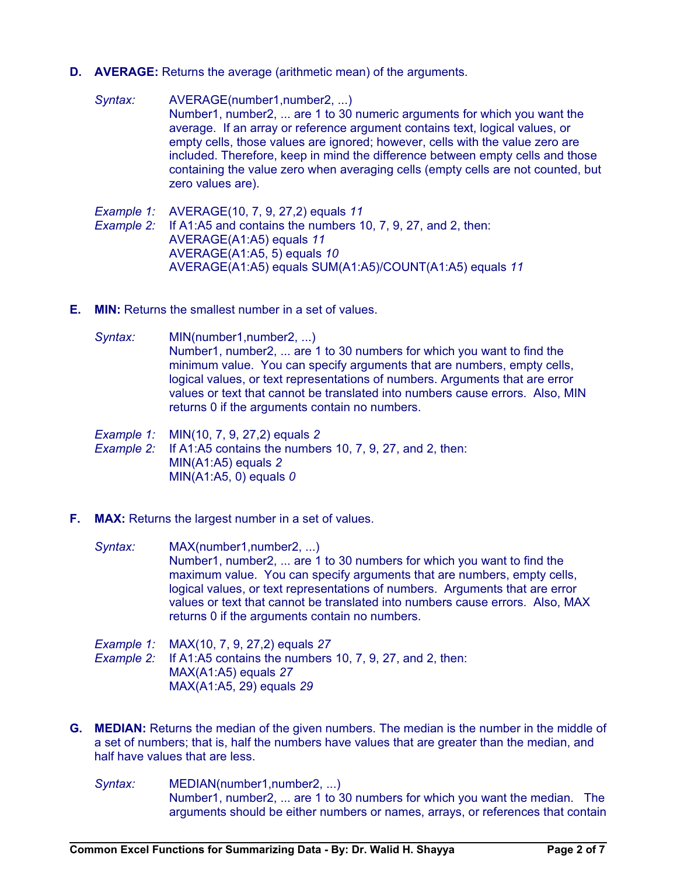- **D. AVERAGE:** Returns the average (arithmetic mean) of the arguments.
	- Syntax: AVERAGE(number1,number2, ...) Number1, number2, ... are 1 to 30 numeric arguments for which you want the average. If an array or reference argument contains text, logical values, or empty cells, those values are ignored; however, cells with the value zero are included. Therefore, keep in mind the difference between empty cells and those containing the value zero when averaging cells (empty cells are not counted, but zero values are).
	- *Example 1:* AVERAGE(10, 7, 9, 27,2) equals *11 Example 2:* If A1:A5 and contains the numbers 10, 7, 9, 27, and 2, then: AVERAGE(A1:A5) equals *11* AVERAGE(A1:A5, 5) equals *10* AVERAGE(A1:A5) equals SUM(A1:A5)/COUNT(A1:A5) equals *11*
- **E. MIN:** Returns the smallest number in a set of values.
	- *Syntax:* MIN(number1,number2, ...) Number1, number2, ... are 1 to 30 numbers for which you want to find the minimum value. You can specify arguments that are numbers, empty cells, logical values, or text representations of numbers. Arguments that are error values or text that cannot be translated into numbers cause errors. Also, MIN returns 0 if the arguments contain no numbers.
	- *Example 1:* MIN(10, 7, 9, 27,2) equals *2*
	- *Example 2:* If A1:A5 contains the numbers 10, 7, 9, 27, and 2, then: MIN(A1:A5) equals *2* MIN(A1:A5, 0) equals *0*
- **F. MAX:** Returns the largest number in a set of values.
	- *Syntax:* MAX(number1,number2, ...) Number1, number2, ... are 1 to 30 numbers for which you want to find the maximum value. You can specify arguments that are numbers, empty cells, logical values, or text representations of numbers. Arguments that are error values or text that cannot be translated into numbers cause errors. Also, MAX returns 0 if the arguments contain no numbers.
	- *Example 1:* MAX(10, 7, 9, 27,2) equals *27 Example 2:* If A1:A5 contains the numbers 10, 7, 9, 27, and 2, then: MAX(A1:A5) equals *27* MAX(A1:A5, 29) equals *29*
- **G. MEDIAN:** Returns the median of the given numbers. The median is the number in the middle of a set of numbers; that is, half the numbers have values that are greater than the median, and half have values that are less.
	- *Syntax:* MEDIAN(number1,number2, ...) Number1, number2, ... are 1 to 30 numbers for which you want the median. The arguments should be either numbers or names, arrays, or references that contain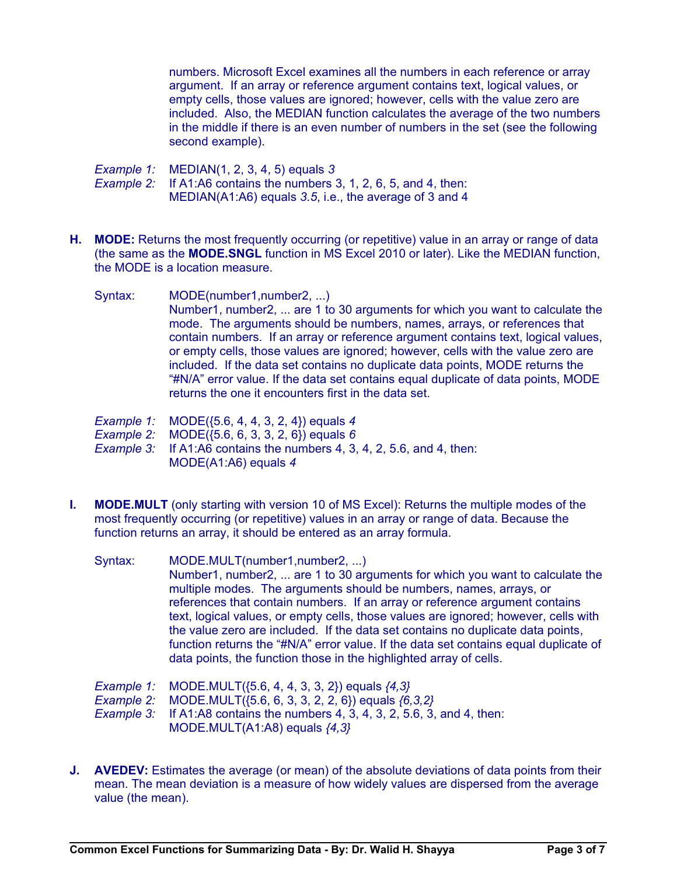numbers. Microsoft Excel examines all the numbers in each reference or array argument. If an array or reference argument contains text, logical values, or empty cells, those values are ignored; however, cells with the value zero are included. Also, the MEDIAN function calculates the average of the two numbers in the middle if there is an even number of numbers in the set (see the following second example).

*Example 1:* MEDIAN(1, 2, 3, 4, 5) equals *3 Example 2:* If A1:A6 contains the numbers 3, 1, 2, 6, 5, and 4, then: MEDIAN(A1:A6) equals *3.5*, i.e., the average of 3 and 4

- **H. MODE:** Returns the most frequently occurring (or repetitive) value in an array or range of data (the same as the **MODE.SNGL** function in MS Excel 2010 or later). Like the MEDIAN function, the MODE is a location measure.
	- Syntax: MODE(number1,number2, ...) Number1, number2, ... are 1 to 30 arguments for which you want to calculate the mode. The arguments should be numbers, names, arrays, or references that contain numbers. If an array or reference argument contains text, logical values, or empty cells, those values are ignored; however, cells with the value zero are included. If the data set contains no duplicate data points, MODE returns the "#N/A" error value. If the data set contains equal duplicate of data points, MODE returns the one it encounters first in the data set.
		- *Example 1:* MODE({5.6, 4, 4, 3, 2, 4}) equals *4*
		- *Example 2:* MODE({5.6, 6, 3, 3, 2, 6}) equals *6*
		- *Example 3:* If A1:A6 contains the numbers 4, 3, 4, 2, 5.6, and 4, then: MODE(A1:A6) equals *4*
- **I. MODE.MULT** (only starting with version 10 of MS Excel): Returns the multiple modes of the most frequently occurring (or repetitive) values in an array or range of data. Because the function returns an array, it should be entered as an array formula.

| Syntax: | MODE.MULT(number1,number2, )                                                         |
|---------|--------------------------------------------------------------------------------------|
|         | Number1, number2,  are 1 to 30 arguments for which you want to calculate the         |
|         | multiple modes. The arguments should be numbers, names, arrays, or                   |
|         | references that contain numbers. If an array or reference argument contains          |
|         | text, logical values, or empty cells, those values are ignored; however, cells with  |
|         | the value zero are included. If the data set contains no duplicate data points,      |
|         | function returns the "#N/A" error value. If the data set contains equal duplicate of |
|         | data points, the function those in the highlighted array of cells.                   |
|         |                                                                                      |

- *Example 1:* MODE.MULT({5.6, 4, 4, 3, 3, 2}) equals *{4,3}*
- *Example 2:* MODE.MULT({5.6, 6, 3, 3, 2, 2, 6}) equals *{6,3,2}*
- *Example 3:* If A1:A8 contains the numbers 4, 3, 4, 3, 2, 5.6, 3, and 4, then: MODE.MULT(A1:A8) equals *{4,3}*
- **J.** AVEDEV: Estimates the average (or mean) of the absolute deviations of data points from their mean. The mean deviation is a measure of how widely values are dispersed from the average value (the mean).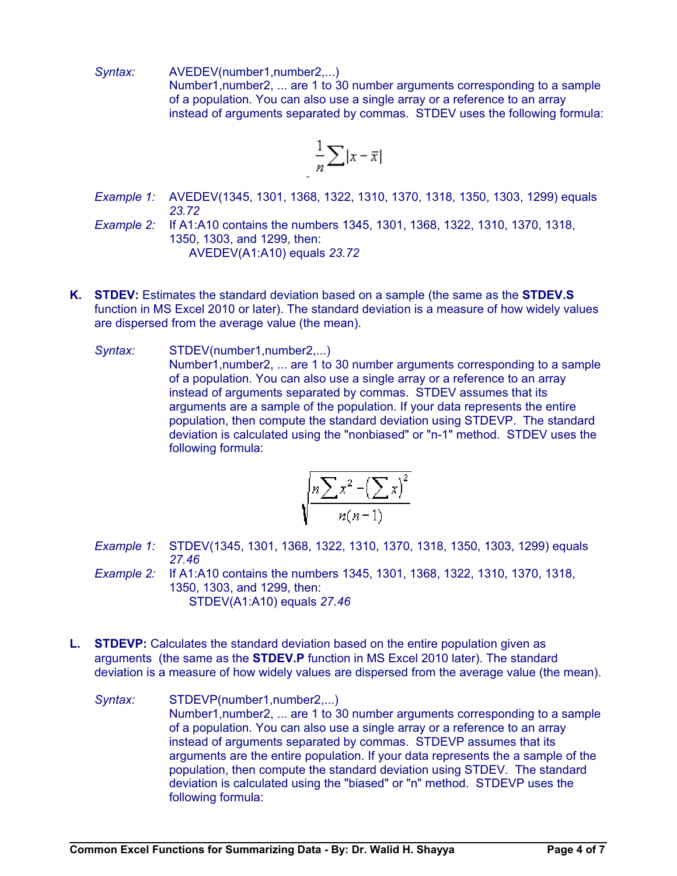*Syntax:* AVEDEV(number1,number2,...) Number1,number2, ... are 1 to 30 number arguments corresponding to a sample of a population. You can also use a single array or a reference to an array instead of arguments separated by commas. STDEV uses the following formula:

$$
\frac{1}{n}\sum |x-\overline{x}|
$$

- *Example 1:* AVEDEV(1345, 1301, 1368, 1322, 1310, 1370, 1318, 1350, 1303, 1299) equals *23.72*
- *Example 2:* If A1:A10 contains the numbers 1345, 1301, 1368, 1322, 1310, 1370, 1318, 1350, 1303, and 1299, then: AVEDEV(A1:A10) equals *23.72*
- **K. STDEV:** Estimates the standard deviation based on a sample (the same as the **STDEV.S** function in MS Excel 2010 or later). The standard deviation is a measure of how widely values are dispersed from the average value (the mean).
	- Syntax: STDEV(number1,number2,...) Number1,number2, ... are 1 to 30 number arguments corresponding to a sample of a population. You can also use a single array or a reference to an array instead of arguments separated by commas. STDEV assumes that its arguments are a sample of the population. If your data represents the entire population, then compute the standard deviation using STDEVP. The standard deviation is calculated using the "nonbiased" or "n-1" method. STDEV uses the following formula:

$$
\sqrt{\frac{n\sum x^2 - (\sum x)^2}{n(n-1)}}
$$

- *Example 1:* STDEV(1345, 1301, 1368, 1322, 1310, 1370, 1318, 1350, 1303, 1299) equals *27.46*
- *Example 2:* If A1:A10 contains the numbers 1345, 1301, 1368, 1322, 1310, 1370, 1318, 1350, 1303, and 1299, then: STDEV(A1:A10) equals *27.46*
- **L. STDEVP:** Calculates the standard deviation based on the entire population given as arguments (the same as the **STDEV.P** function in MS Excel 2010 later). The standard deviation is a measure of how widely values are dispersed from the average value (the mean).
	- Syntax: STDEVP(number1,number2,...) Number1,number2, ... are 1 to 30 number arguments corresponding to a sample of a population. You can also use a single array or a reference to an array instead of arguments separated by commas. STDEVP assumes that its arguments are the entire population. If your data represents the a sample of the population, then compute the standard deviation using STDEV. The standard deviation is calculated using the "biased" or "n" method. STDEVP uses the following formula: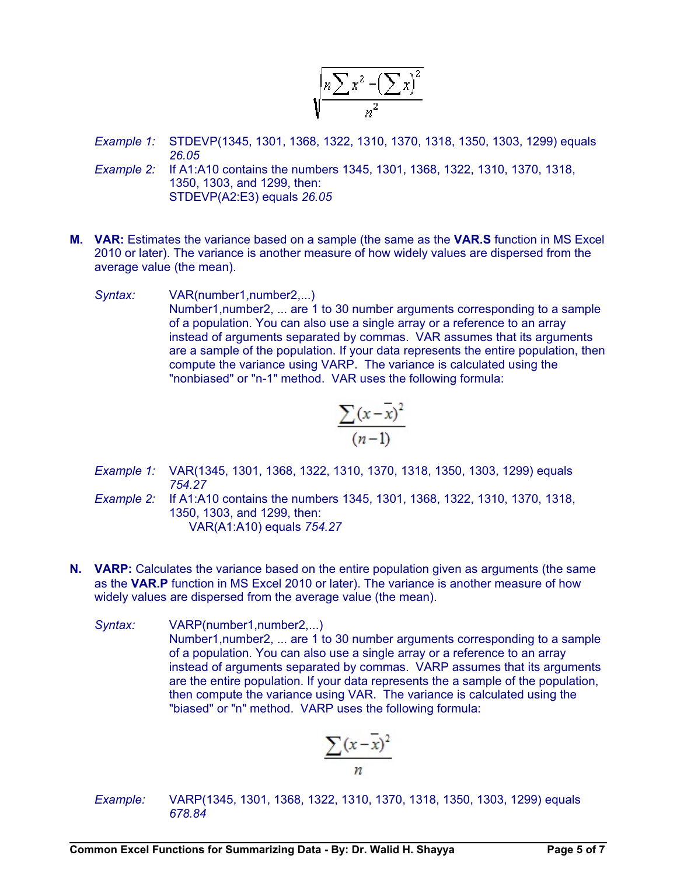$$
\sqrt{\frac{n\sum x^2-\left(\sum x\right)^2}{n^2}}
$$

- *Example 1:* STDEVP(1345, 1301, 1368, 1322, 1310, 1370, 1318, 1350, 1303, 1299) equals *26.05*
- *Example 2:* If A1:A10 contains the numbers 1345, 1301, 1368, 1322, 1310, 1370, 1318, 1350, 1303, and 1299, then: STDEVP(A2:E3) equals *26.05*
- **M. VAR:** Estimates the variance based on a sample (the same as the **VAR.S** function in MS Excel 2010 or later). The variance is another measure of how widely values are dispersed from the average value (the mean).
	- *Syntax:* VAR(number1,number2,...) Number1,number2, ... are 1 to 30 number arguments corresponding to a sample of a population. You can also use a single array or a reference to an array instead of arguments separated by commas. VAR assumes that its arguments are a sample of the population. If your data represents the entire population, then compute the variance using VARP. The variance is calculated using the "nonbiased" or "n-1" method. VAR uses the following formula:

$$
\frac{\sum (x - \overline{x})^2}{(n-1)}
$$

- *Example 1:* VAR(1345, 1301, 1368, 1322, 1310, 1370, 1318, 1350, 1303, 1299) equals *754.27*
- *Example 2:* If A1:A10 contains the numbers 1345, 1301, 1368, 1322, 1310, 1370, 1318, 1350, 1303, and 1299, then: VAR(A1:A10) equals *754.27*
- **N. VARP:** Calculates the variance based on the entire population given as arguments (the same as the **VAR.P** function in MS Excel 2010 or later). The variance is another measure of how widely values are dispersed from the average value (the mean).
	- *Syntax:* VARP(number1,number2,...) Number1,number2, ... are 1 to 30 number arguments corresponding to a sample of a population. You can also use a single array or a reference to an array instead of arguments separated by commas. VARP assumes that its arguments are the entire population. If your data represents the a sample of the population, then compute the variance using VAR. The variance is calculated using the "biased" or "n" method. VARP uses the following formula:

$$
\frac{\sum (x - \overline{x})^2}{n}
$$

*Example:* VARP(1345, 1301, 1368, 1322, 1310, 1370, 1318, 1350, 1303, 1299) equals *678.84*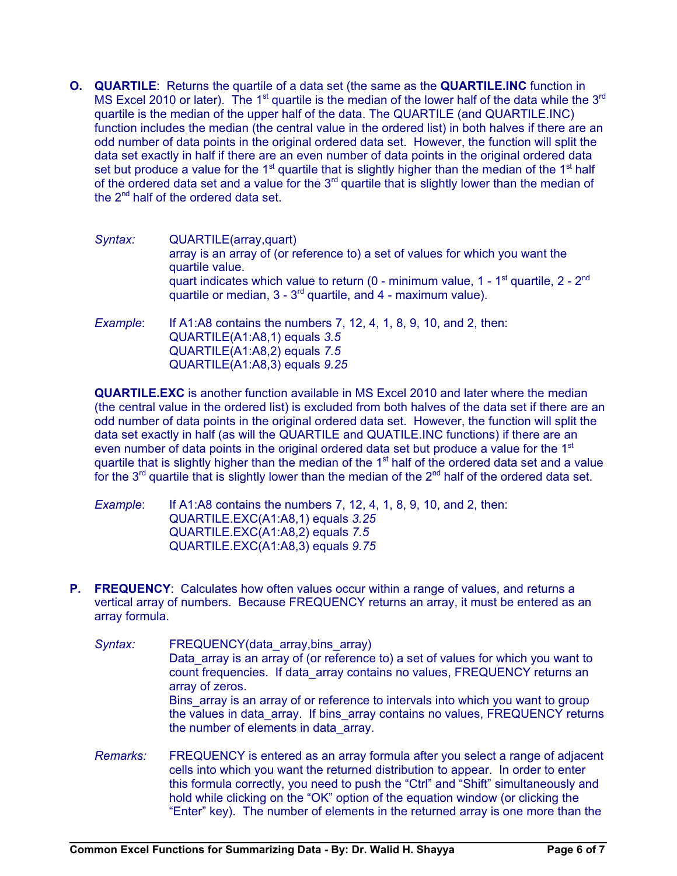**O. QUARTILE**: Returns the quartile of a data set (the same as the **QUARTILE.INC** function in MS Excel 2010 or later). The 1<sup>st</sup> quartile is the median of the lower half of the data while the 3<sup>rd</sup> quartile is the median of the upper half of the data. The QUARTILE (and QUARTILE.INC) function includes the median (the central value in the ordered list) in both halves if there are an odd number of data points in the original ordered data set. However, the function will split the data set exactly in half if there are an even number of data points in the original ordered data set but produce a value for the 1<sup>st</sup> quartile that is slightly higher than the median of the 1<sup>st</sup> half of the ordered data set and a value for the  $3<sup>rd</sup>$  quartile that is slightly lower than the median of the  $2<sup>nd</sup>$  half of the ordered data set.

| Syntax:  | QUARTILE(array,quart)<br>array is an array of (or reference to) a set of values for which you want the<br>quartile value.<br>quart indicates which value to return (0 - minimum value, $1 - 1$ <sup>st</sup> quartile, $2 - 2nd$<br>quartile or median, $3 - 3^{rd}$ quartile, and 4 - maximum value). |
|----------|--------------------------------------------------------------------------------------------------------------------------------------------------------------------------------------------------------------------------------------------------------------------------------------------------------|
| Example: | If A1:A8 contains the numbers 7, 12, 4, 1, 8, 9, 10, and 2, then:<br>QUARTILE(A1:A8,1) equals 3.5<br>QUARTILE(A1:A8,2) equals 7.5<br>QUARTILE(A1:A8,3) equals 9.25                                                                                                                                     |

**QUARTILE.EXC** is another function available in MS Excel 2010 and later where the median (the central value in the ordered list) is excluded from both halves of the data set if there are an odd number of data points in the original ordered data set. However, the function will split the data set exactly in half (as will the QUARTILE and QUATILE.INC functions) if there are an even number of data points in the original ordered data set but produce a value for the  $1<sup>st</sup>$ quartile that is slightly higher than the median of the  $1<sup>st</sup>$  half of the ordered data set and a value for the 3<sup>rd</sup> quartile that is slightly lower than the median of the 2<sup>nd</sup> half of the ordered data set.

*Example*: If A1:A8 contains the numbers 7, 12, 4, 1, 8, 9, 10, and 2, then: QUARTILE.EXC(A1:A8,1) equals *3.25* QUARTILE.EXC(A1:A8,2) equals *7.5* QUARTILE.EXC(A1:A8,3) equals *9.75*

- **P.** FREQUENCY: Calculates how often values occur within a range of values, and returns a vertical array of numbers. Because FREQUENCY returns an array, it must be entered as an array formula.
	- *Syntax:* FREQUENCY(data\_array,bins\_array) Data array is an array of (or reference to) a set of values for which you want to count frequencies. If data array contains no values, FREQUENCY returns an array of zeros. Bins array is an array of or reference to intervals into which you want to group the values in data array. If bins array contains no values, FREQUENCY returns the number of elements in data\_array.
	- *Remarks:* FREQUENCY is entered as an array formula after you select a range of adjacent cells into which you want the returned distribution to appear. In order to enter this formula correctly, you need to push the "Ctrl" and "Shift" simultaneously and hold while clicking on the "OK" option of the equation window (or clicking the "Enter" key). The number of elements in the returned array is one more than the